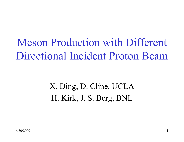Meson Production with Different Directional Incident Proton Beam

> X. Ding, D. Cline, UCLA H. Kirk, J. S. Berg, BNL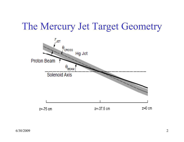#### The Mercury Jet Target Geometry

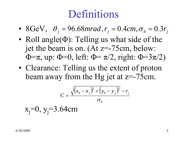### Definitions

- 8GeV,  $\theta_j = 96.68 mrad, r_j = 0.4 cm, \sigma_b = 0.3 r_j$
- ll angle $(\Phi)$ : Telling us what side of th •Roll angle $(\Phi)$ : Telling us what side of the jet the beam is on. (At z=-75cm, below:  $Φ = π$ , up:  $Φ = 0$ , left:  $Φ = π/2$ , right:  $Φ = 3π/2$ )
- •Clearance: Telling us the extent of proton beam away from the Hg jet at z=-75cm.

$$
C = \frac{\sqrt{(x_0 - x_j)^2 + (y_0 - y_j)^2} - r_j}{\sigma_b}
$$

$$
x_j=0, y_j=3.64
$$
cm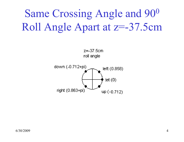Same Crossing Angle and 90<sup>0</sup> Roll Angle Apart at z=-37.5cm



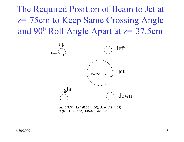The Required Position of Beam to Jet at z=-75cm to Keep Same Crossing Angle and 90 0 Roll Angle Apart at z=-37.5cm

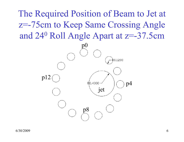The Required Position of Beam to Jet at z=-75cm to Keep Same Crossing Angle and 24<sup>0</sup> Roll Angle Apart at z=-37.5cm

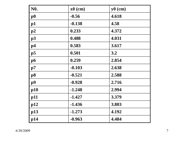| N <sub>0</sub> . | $x0$ (cm) | $y0$ (cm) |
|------------------|-----------|-----------|
| $\bf p0$         | $-0.56$   | 4.618     |
| p1               | $-0.138$  | 4.58      |
| p2               | 0.233     | 4.372     |
| p3               | 0.488     | 4.031     |
| p4               | 0.583     | 3.617     |
| $\mathbf{p}5$    | 0.501     | 3.2       |
| p6               | 0.259     | 2.854     |
| p7               | $-0.103$  | 2.638     |
| <b>p8</b>        | $-0.521$  | 2.588     |
| p9               | $-0.928$  | 2.716     |
| p10              | $-1.248$  | 2.994     |
| p11              | $-1.427$  | 3.379     |
| p12              | $-1.436$  | 3.803     |
| p13              | $-1.273$  | 4.192     |
| p14              | $-0.963$  | 4.484     |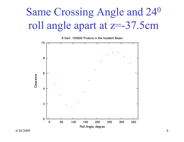# Same Crossing Angle and 24<sup>0</sup> roll angle apart at z=-37.5cm

8 GeV, 100000 Protons in the Incident Beam Clearance  $\ddot{}$  $\overline{2}$ Roll Angle, degree

6/30/2009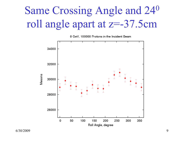## Same Crossing Angle and 24<sup>0</sup> roll angle apart at z=-37.5cm



8 GeV, 100000 Protons in the Incident Beam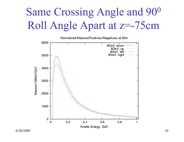# Same Crossing Angle and 90<sup>0</sup> Roll Angle Apart at z=-75cm